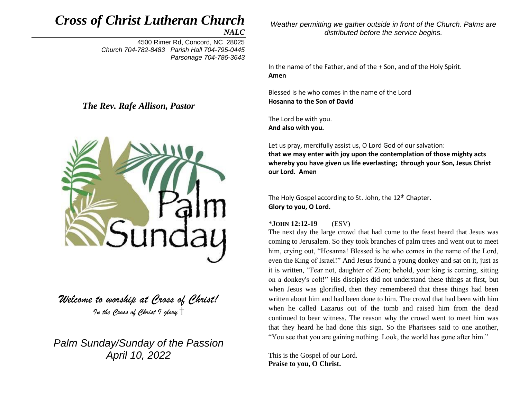# *Cross of Christ Lutheran Church*

*NALC*

4500 Rimer Rd, Concord, NC 28025 *Church 704-782-8483 Parish Hall 704-795-0445 Parsonage 704-786-3643* 

*The Rev. Rafe Allison, Pastor*



*Welcome to worship at Cross of Christ! In the Cross of Christ I glory*

*Palm Sunday/Sunday of the Passion April 10, 2022*

*Weather permitting we gather outside in front of the Church. Palms are distributed before the service begins.*

In the name of the Father, and of the + Son, and of the Holy Spirit. **Amen**

Blessed is he who comes in the name of the Lord **Hosanna to the Son of David**

The Lord be with you. **And also with you.**

Let us pray, mercifully assist us, O Lord God of our salvation: **that we may enter with joy upon the contemplation of those mighty acts whereby you have given us life everlasting; through your Son, Jesus Christ our Lord. Amen**

The Holy Gospel according to St. John, the 12<sup>th</sup> Chapter. **Glory to you, O Lord.**

#### \***JOHN 12:12-19** (ESV)

The next day the large crowd that had come to the feast heard that Jesus was coming to Jerusalem. So they took branches of palm trees and went out to meet him, crying out, "Hosanna! Blessed is he who comes in the name of the Lord, even the King of Israel!" And Jesus found a young donkey and sat on it, just as it is written, "Fear not, daughter of Zion; behold, your king is coming, sitting on a donkey's colt!" His disciples did not understand these things at first, but when Jesus was glorified, then they remembered that these things had been written about him and had been done to him. The crowd that had been with him when he called Lazarus out of the tomb and raised him from the dead continued to bear witness. The reason why the crowd went to meet him was that they heard he had done this sign. So the Pharisees said to one another, "You see that you are gaining nothing. Look, the world has gone after him."

This is the Gospel of our Lord. **Praise to you, O Christ.**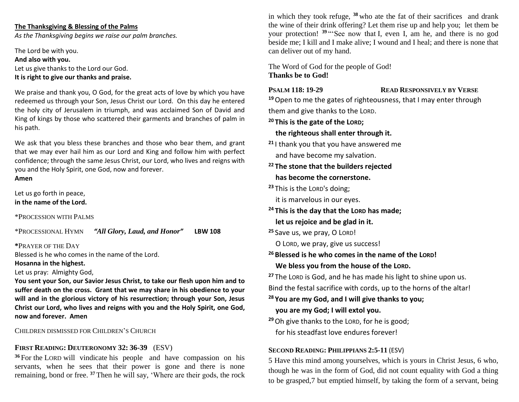#### **The Thanksgiving & Blessing of the Palms**

*As the Thanksgiving begins we raise our palm branches.*

The Lord be with you. **And also with you.** Let us give thanks to the Lord our God. **It is right to give our thanks and praise.**

We praise and thank you, O God, for the great acts of love by which you have redeemed us through your Son, Jesus Christ our Lord. On this day he entered the holy city of Jerusalem in triumph, and was acclaimed Son of David and King of kings by those who scattered their garments and branches of palm in his path.

We ask that you bless these branches and those who bear them, and grant that we may ever hail him as our Lord and King and follow him with perfect confidence; through the same Jesus Christ, our Lord, who lives and reigns with you and the Holy Spirit, one God, now and forever. **Amen**

Let us go forth in peace, **in the name of the Lord.**

\*PROCESSION WITH PALMS

\*PROCESSIONAL HYMN *"All Glory, Laud, and Honor"* **LBW 108**

**\***PRAYER OF THE DAY Blessed is he who comes in the name of the Lord.

#### **Hosanna in the highest.**

Let us pray: Almighty God,

**You sent your Son, our Savior Jesus Christ, to take our flesh upon him and to suffer death on the cross. Grant that we may share in his obedience to your will and in the glorious victory of his resurrection; through your Son, Jesus Christ our Lord, who lives and reigns with you and the Holy Spirit, one God, now and forever. Amen**

CHILDREN DISMISSED FOR CHILDREN'S CHURCH

#### **FIRST READING: DEUTERONOMY 32: 36-39** (ESV)

**<sup>36</sup>** For the LORD will vindicate his people and have compassion on his servants, when he sees that their power is gone and there is none remaining, bond or free. **<sup>37</sup>** Then he will say, 'Where are their gods, the rock in which they took refuge, **<sup>38</sup>** who ate the fat of their sacrifices and drank the wine of their drink offering? Let them rise up and help you; let them be your protection! **<sup>39</sup>** "'See now that I, even I, am he, and there is no god beside me; I kill and I make alive; I wound and I heal; and there is none that can deliver out of my hand.

The Word of God for the people of God! **Thanks be to God!**

#### **PSALM 118: 19-29 READ RESPONSIVELY BY VERSE**

**<sup>19</sup>**Open to me the gates of righteousness, that I may enter through them and give thanks to the LORD.

**<sup>20</sup> This is the gate of the LORD;**

 **the righteous shall enter through it.**

- **<sup>21</sup>** I thank you that you have answered me and have become my salvation.
- **<sup>22</sup> The stone that the builders rejected has become the cornerstone.**

**<sup>23</sup>** This is the LORD's doing;

it is marvelous in our eyes.

- **<sup>24</sup> This is the day that the LORD has made; let us rejoice and be glad in it.**
- **<sup>25</sup>** Save us, we pray, O LORD!

O LORD, we pray, give us success!

**<sup>26</sup> Blessed is he who comes in the name of the LORD! We bless you from the house of the LORD.**

**<sup>27</sup>** The LORD is God, and he has made his light to shine upon us. Bind the festal sacrifice with cords, up to the horns of the altar!

**<sup>28</sup> You are my God, and I will give thanks to you; you are my God; I will extol you.**

**<sup>29</sup>**Oh give thanks to the LORD, for he is good; for his steadfast love endures forever!

#### **SECOND READING: PHILIPPIANS 2:5-11** (ESV)

5 Have this mind among yourselves, which is yours in Christ Jesus, 6 who, though he was in the form of God, did not count equality with God a thing to be grasped,7 but emptied himself, by taking the form of a servant, being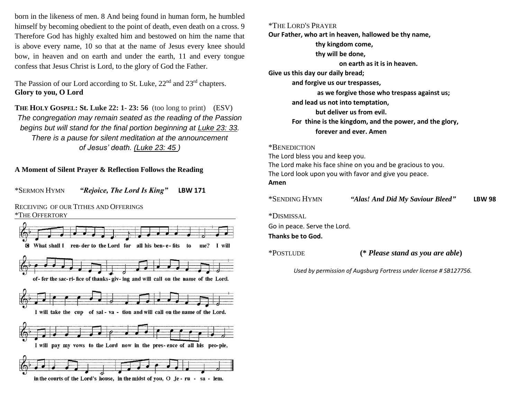born in the likeness of men. 8 And being found in human form, he humbled himself by becoming obedient to the point of death, even death on a cross. 9 Therefore God has highly exalted him and bestowed on him the name that is above every name, 10 so that at the name of Jesus every knee should bow, in heaven and on earth and under the earth, 11 and every tongue confess that Jesus Christ is Lord, to the glory of God the Father.

The Passion of our Lord according to St. Luke, 22<sup>nd</sup> and 23<sup>rd</sup> chapters. **Glory to you, O Lord**

**THE HOLY GOSPEL: St. Luke 22: 1- 23: 56** (too long to print) (ESV) *The congregation may remain seated as the reading of the Passion begins but will stand for the final portion beginning at Luke 23: 33. There is a pause for silent meditation at the announcement of Jesus' death. (Luke 23: 45 )*

#### **A Moment of Silent Prayer & Reflection Follows the Reading**

\*SERMON HYMN *"Rejoice, The Lord Is King"* **LBW 171**

RECEIVING OF OUR TITHES AND OFFERINGS \*THE OFFERTORY



\*THE LORD'S PRAYER **Our Father, who art in heaven, hallowed be thy name, thy kingdom come, thy will be done, on earth as it is in heaven. Give us this day our daily bread; and forgive us our trespasses, as we forgive those who trespass against us; and lead us not into temptation, but deliver us from evil. For thine is the kingdom, and the power, and the glory, forever and ever. Amen**

\*BENEDICTION The Lord bless you and keep you. The Lord make his face shine on you and be gracious to you. The Lord look upon you with favor and give you peace. **Amen**

| *SENDING HYMN                                     | "Alas! And Did My Saviour Bleed" | <b>LBW 98</b> |  |
|---------------------------------------------------|----------------------------------|---------------|--|
| *Dismissal                                        |                                  |               |  |
| Go in peace. Serve the Lord.<br>Thanks be to God. |                                  |               |  |
| *Postlude                                         | (* Please stand as you are able) |               |  |

 *Used by permission of Augsburg Fortress under license # SB127756.*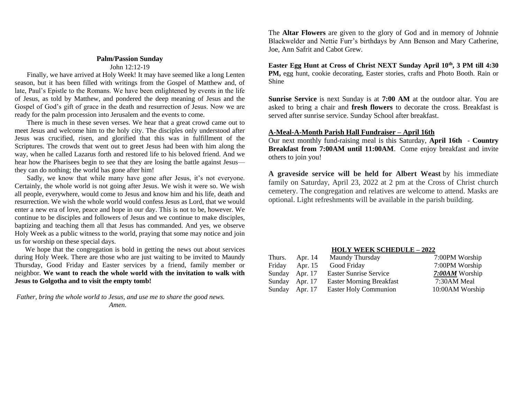# **Palm/Passion Sunday**

### John 12:12-19

 Finally, we have arrived at Holy Week! It may have seemed like a long Lenten season, but it has been filled with writings from the Gospel of Matthew and, of late, Paul's Epistle to the Romans. We have been enlightened by events in the life of Jesus, as told by Matthew, and pondered the deep meaning of Jesus and the Gospel of God's gift of grace in the death and resurrection of Jesus. Now we are ready for the palm procession into Jerusalem and the events to come.

 There is much in these seven verses. We hear that a great crowd came out to meet Jesus and welcome him to the holy city. The disciples only understood after Jesus was crucified, risen, and glorified that this was in fulfillment of the Scriptures. The crowds that went out to greet Jesus had been with him along the way, when he called Lazarus forth and restored life to his beloved friend. And we hear how the Pharisees begin to see that they are losing the battle against Jesus they can do nothing; the world has gone after him!

 Sadly, we know that while many have gone after Jesus, it's not everyone. Certainly, the whole world is not going after Jesus. We wish it were so. We wish all people, everywhere, would come to Jesus and know him and his life, death and resurrection. We wish the whole world would confess Jesus as Lord, that we would enter a new era of love, peace and hope in our day. This is not to be, however. We continue to be disciples and followers of Jesus and we continue to make disciples, baptizing and teaching them all that Jesus has commanded. And yes, we observe Holy Week as a public witness to the world, praying that some may notice and join us for worship on these special days.

 We hope that the congregation is bold in getting the news out about services during Holy Week. There are those who are just waiting to be invited to Maundy Thursday, Good Friday and Easter services by a friend, family member or neighbor. **We want to reach the whole world with the invitation to walk with Jesus to Golgotha and to visit the empty tomb!** 

*Father, bring the whole world to Jesus, and use me to share the good news. Amen.* 

The **Altar Flowers** are given to the glory of God and in memory of Johnnie Blackwelder and Nettie Furr's birthdays by Ann Benson and Mary Catherine, Joe, Ann Safrit and Cabot Grew.

**Easter Egg Hunt at Cross of Christ NEXT Sunday April 10th, 3 PM till 4:30 PM,** egg hunt, cookie decorating, Easter stories, crafts and Photo Booth. Rain or Shine

**Sunrise Service** is next Sunday is at **7:00 AM** at the outdoor altar. You are asked to bring a chair and **fresh flowers** to decorate the cross. Breakfast is served after sunrise service. Sunday School after breakfast.

#### **A-Meal-A-Month Parish Hall Fundraiser – April 16th**

Our next monthly fund-raising meal is this Saturday, **April 16th** - **Country Breakfast from 7:00AM until 11:00AM**. Come enjoy breakfast and invite others to join you!

**A graveside service will be held for Albert Weast** by his immediate family on Saturday, April 23, 2022 at 2 pm at the Cross of Christ church cemetery. The congregation and relatives are welcome to attend. Masks are optional. Light refreshments will be available in the parish building.

#### **HOLY WEEK SCHEDULE – 2022**

| Thurs. | Apr. 14        | <b>Maundy Thursday</b>          | 7:00PM Worship  |
|--------|----------------|---------------------------------|-----------------|
| Friday | Apr. 15        | Good Friday                     | 7:00PM Worship  |
|        | Sunday Apr. 17 | <b>Easter Sunrise Service</b>   | 7:00AM Worship  |
|        | Sunday Apr. 17 | <b>Easter Morning Breakfast</b> | 7:30AM Meal     |
|        | Sunday Apr. 17 | Easter Holy Communion           | 10:00AM Worship |